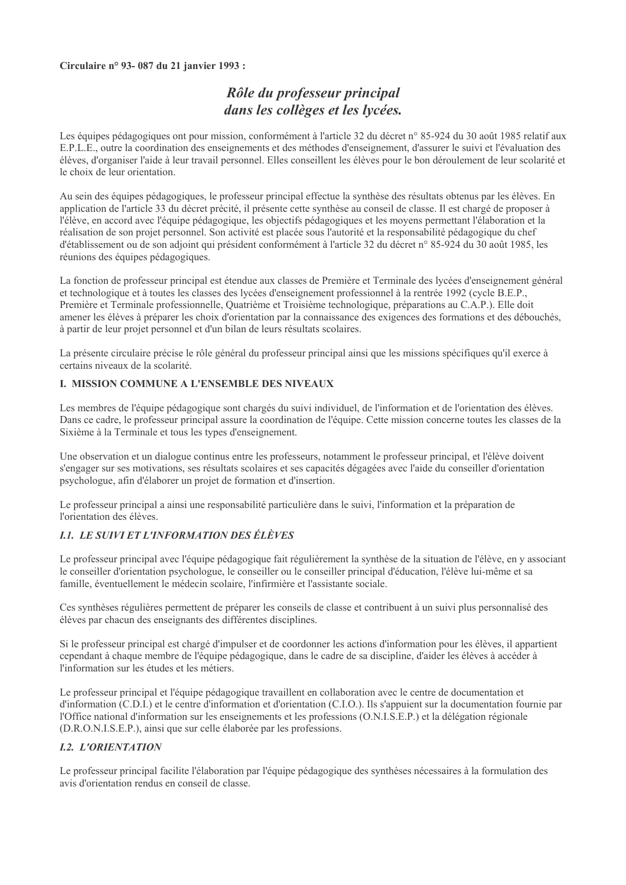#### Circulaire nº 93-087 du 21 janvier 1993 :

# Rôle du professeur principal dans les collèges et les lycées.

Les équipes pédagogiques ont pour mission, conformément à l'article 32 du décret n° 85-924 du 30 août 1985 relatif aux E.P.L.E., outre la coordination des enseignements et des méthodes d'enseignement, d'assurer le suivi et l'évaluation des élèves, d'organiser l'aide à leur travail personnel. Elles conseillent les élèves pour le bon déroulement de leur scolarité et le choix de leur orientation.

Au sein des équipes pédagogiques, le professeur principal effectue la synthèse des résultats obtenus par les élèves. En application de l'article 33 du décret précité, il présente cette synthèse au conseil de classe. Il est chargé de proposer à l'élève, en accord avec l'équipe pédagogique, les objectifs pédagogiques et les moyens permettant l'élaboration et la réalisation de son projet personnel. Son activité est placée sous l'autorité et la responsabilité pédagogique du chef d'établissement ou de son adjoint qui président conformément à l'article 32 du décret n° 85-924 du 30 août 1985, les réunions des équipes pédagogiques.

La fonction de professeur principal est étendue aux classes de Première et Terminale des lycées d'enseignement général et technologique et à toutes les classes des lycées d'enseignement professionnel à la rentrée 1992 (cycle B.E.P., Première et Terminale professionnelle, Quatrième et Troisième technologique, préparations au C.A.P.). Elle doit amener les élèves à préparer les choix d'orientation par la connaissance des exigences des formations et des débouchés, à partir de leur projet personnel et d'un bilan de leurs résultats scolaires.

La présente circulaire précise le rôle général du professeur principal ainsi que les missions spécifiques qu'il exerce à certains niveaux de la scolarité.

## **I. MISSION COMMUNE A L'ENSEMBLE DES NIVEAUX**

Les membres de l'équipe pédagogique sont chargés du suivi individuel, de l'information et de l'orientation des élèves. Dans ce cadre, le professeur principal assure la coordination de l'équipe. Cette mission concerne toutes les classes de la Sixième à la Terminale et tous les types d'enseignement.

Une observation et un dialogue continus entre les professeurs, notamment le professeur principal, et l'élève doivent s'engager sur ses motivations, ses résultats scolaires et ses capacités dégagées avec l'aide du conseiller d'orientation psychologue, afin d'élaborer un projet de formation et d'insertion.

Le professeur principal a ainsi une responsabilité particulière dans le suivi, l'information et la préparation de l'orientation des élèves.

## **I.1. LE SUIVI ET L'INFORMATION DES ÉLÈVES**

Le professeur principal avec l'équipe pédagogique fait régulièrement la synthèse de la situation de l'élève, en y associant le conseiller d'orientation psychologue, le conseiller ou le conseiller principal d'éducation, l'élève lui-même et sa famille, éventuellement le médecin scolaire, l'infirmière et l'assistante sociale.

Ces synthèses régulières permettent de préparer les conseils de classe et contribuent à un suivi plus personnalisé des élèves par chacun des enseignants des différentes disciplines.

Si le professeur principal est chargé d'impulser et de coordonner les actions d'information pour les élèves, il appartient cependant à chaque membre de l'équipe pédagogique, dans le cadre de sa discipline, d'aider les élèves à accéder à l'information sur les études et les métiers.

Le professeur principal et l'équipe pédagogique travaillent en collaboration avec le centre de documentation et d'information (C.D.I.) et le centre d'information et d'orientation (C.I.O.). Ils s'appuient sur la documentation fournie par l'Office national d'information sur les enseignements et les professions (O.N.I.S.E.P.) et la délégation régionale (D.R.O.N.I.S.E.P.), ainsi que sur celle élaborée par les professions.

#### **I.2. L'ORIENTATION**

Le professeur principal facilite l'élaboration par l'équipe pédagogique des synthèses nécessaires à la formulation des avis d'orientation rendus en conseil de classe.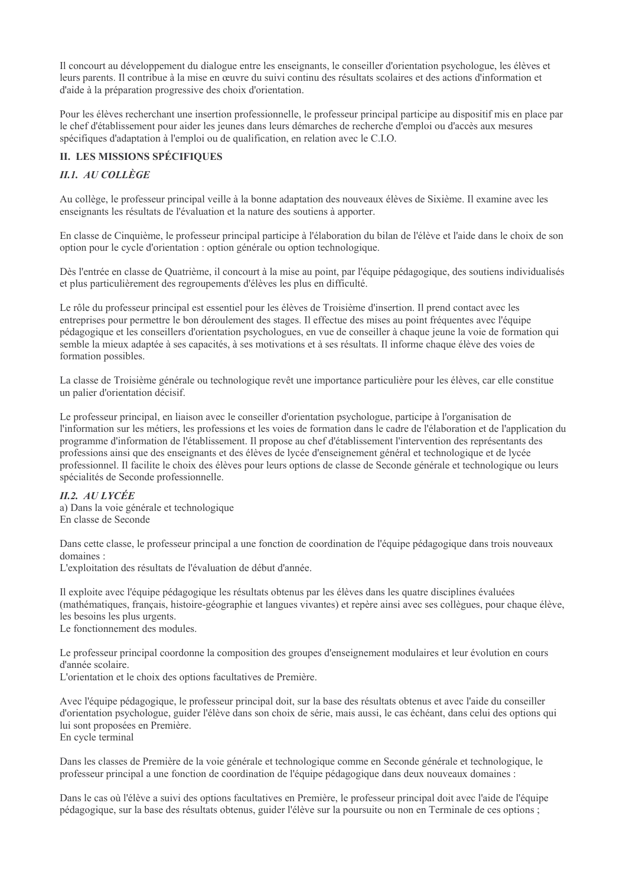Il concourt au développement du dialogue entre les enseignants, le conseiller d'orientation psychologue, les élèves et leurs parents. Il contribue à la mise en œuvre du suivi continu des résultats scolaires et des actions d'information et d'aide à la préparation progressive des choix d'orientation.

Pour les élèves recherchant une insertion professionnelle, le professeur principal participe au dispositif mis en place par le chef d'établissement pour aider les jeunes dans leurs démarches de recherche d'emploi ou d'accès aux mesures spécifiques d'adaptation à l'emploi ou de qualification, en relation avec le C.I.O.

# **II. LES MISSIONS SPÉCIFIQUES**

# II.1. AU COLLÈGE

Au collège, le professeur principal veille à la bonne adaptation des nouveaux élèves de Sixième. Il examine avec les enseignants les résultats de l'évaluation et la nature des soutiens à apporter.

En classe de Cinquième, le professeur principal participe à l'élaboration du bilan de l'élève et l'aide dans le choix de son option pour le cycle d'orientation : option générale ou option technologique.

Dès l'entrée en classe de Quatrième, il concourt à la mise au point, par l'équipe pédagogique, des soutiens individualisés et plus particulièrement des regroupements d'élèves les plus en difficulté.

Le rôle du professeur principal est essentiel pour les élèves de Troisième d'insertion. Il prend contact avec les entreprises pour permettre le bon déroulement des stages. Il effectue des mises au point fréquentes avec l'équipe pédagogique et les conseillers d'orientation psychologues, en vue de conseiller à chaque jeune la voie de formation qui semble la mieux adaptée à ses capacités, à ses motivations et à ses résultats. Il informe chaque élève des voies de formation possibles.

La classe de Troisième générale ou technologique revêt une importance particulière pour les élèves, car elle constitue un palier d'orientation décisif.

Le professeur principal, en liaison avec le conseiller d'orientation psychologue, participe à l'organisation de l'information sur les métiers, les professions et les voies de formation dans le cadre de l'élaboration et de l'application du programme d'information de l'établissement. Il propose au chef d'établissement l'intervention des représentants des professions ainsi que des enseignants et des élèves de lycée d'enseignement général et technologique et de lycée professionnel. Il facilite le choix des élèves pour leurs options de classe de Seconde générale et technologique ou leurs spécialités de Seconde professionnelle.

#### **II.2. AU LYCÉE**

a) Dans la voie générale et technologique En classe de Seconde

Dans cette classe, le professeur principal a une fonction de coordination de l'équipe pédagogique dans trois nouveaux domaines:

L'exploitation des résultats de l'évaluation de début d'année.

Il exploite avec l'équipe pédagogique les résultats obtenus par les élèves dans les quatre disciplines évaluées (mathématiques, français, histoire-géographie et langues vivantes) et repère ainsi avec ses collègues, pour chaque élève, les besoins les plus urgents.

Le fonctionnement des modules.

Le professeur principal coordonne la composition des groupes d'enseignement modulaires et leur évolution en cours d'année scolaire.

L'orientation et le choix des options facultatives de Première.

Avec l'équipe pédagogique, le professeur principal doit, sur la base des résultats obtenus et avec l'aide du conseiller d'orientation psychologue, guider l'élève dans son choix de série, mais aussi, le cas échéant, dans celui des options qui lui sont proposées en Première. En cycle terminal

Dans les classes de Première de la voie générale et technologique comme en Seconde générale et technologique, le professeur principal a une fonction de coordination de l'équipe pédagogique dans deux nouveaux domaines :

Dans le cas où l'élève a suivi des options facultatives en Première, le professeur principal doit avec l'aide de l'équipe pédagogique, sur la base des résultats obtenus, guider l'élève sur la poursuite ou non en Terminale de ces options ;